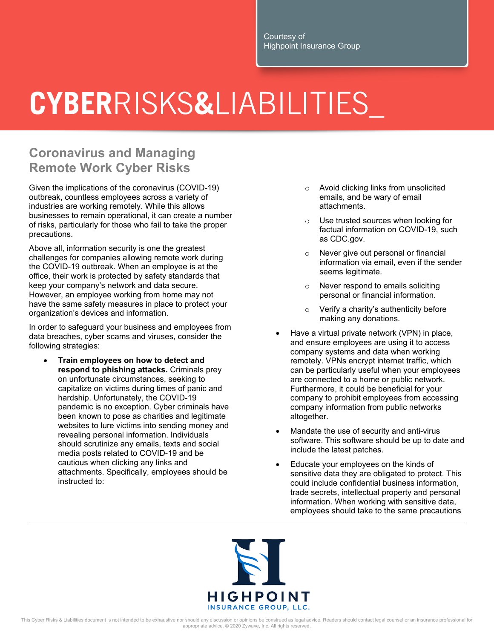Courtesy of Highpoint Insurance Group

## **CYBERRISKS&LIABILITIES**

## **Coronavirus and Managing Remote Work Cyber Risks**

Given the implications of the coronavirus (COVID-19) outbreak, countless employees across a variety of industries are working remotely. While this allows businesses to remain operational, it can create a number of risks, particularly for those who fail to take the proper precautions.

Above all, information security is one the greatest challenges for companies allowing remote work during the COVID-19 outbreak. When an employee is at the office, their work is protected by safety standards that keep your company's network and data secure. However, an employee working from home may not have the same safety measures in place to protect your organization's devices and information.

In order to safeguard your business and employees from data breaches, cyber scams and viruses, consider the following strategies:

 **Train employees on how to detect and respond to phishing attacks.** Criminals prey on unfortunate circumstances, seeking to capitalize on victims during times of panic and hardship. Unfortunately, the COVID-19 pandemic is no exception. Cyber criminals have been known to pose as charities and legitimate websites to lure victims into sending money and revealing personal information. Individuals should scrutinize any emails, texts and social media posts related to COVID-19 and be cautious when clicking any links and attachments. Specifically, employees should be instructed to:

- o Avoid clicking links from unsolicited emails, and be wary of email attachments.
- o Use trusted sources when looking for factual information on COVID-19, such as CDC.gov.
- Never give out personal or financial information via email, even if the sender seems legitimate.
- o Never respond to emails soliciting personal or financial information.
- o Verify a charity's authenticity before making any donations.
- Have a virtual private network (VPN) in place, and ensure employees are using it to access company systems and data when working remotely. VPNs encrypt internet traffic, which can be particularly useful when your employees are connected to a home or public network. Furthermore, it could be beneficial for your company to prohibit employees from accessing company information from public networks altogether.
- Mandate the use of security and anti-virus software. This software should be up to date and include the latest patches.
- Educate your employees on the kinds of sensitive data they are obligated to protect. This could include confidential business information, trade secrets, intellectual property and personal information. When working with sensitive data, employees should take to the same precautions